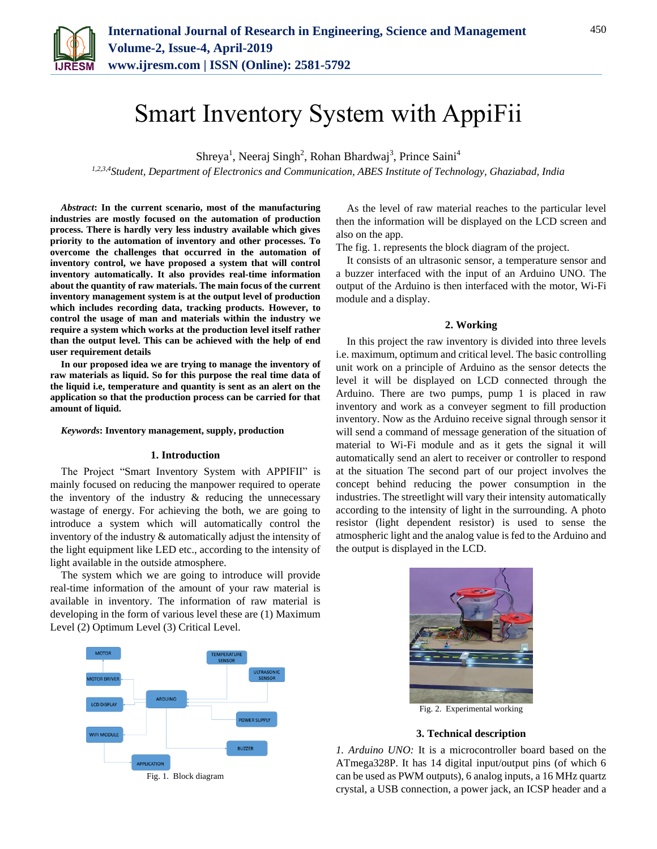

# Smart Inventory System with AppiFii

Shreya<sup>1</sup>, Neeraj Singh<sup>2</sup>, Rohan Bhardwaj<sup>3</sup>, Prince Saini<sup>4</sup>

*1,2,3,4Student, Department of Electronics and Communication, ABES Institute of Technology, Ghaziabad, India*

*Abstract***: In the current scenario, most of the manufacturing industries are mostly focused on the automation of production process. There is hardly very less industry available which gives priority to the automation of inventory and other processes. To overcome the challenges that occurred in the automation of inventory control, we have proposed a system that will control inventory automatically. It also provides real-time information about the quantity of raw materials. The main focus of the current inventory management system is at the output level of production which includes recording data, tracking products. However, to control the usage of man and materials within the industry we require a system which works at the production level itself rather than the output level. This can be achieved with the help of end user requirement details**

**In our proposed idea we are trying to manage the inventory of raw materials as liquid. So for this purpose the real time data of the liquid i.e, temperature and quantity is sent as an alert on the application so that the production process can be carried for that amount of liquid.**

#### *Keywords***: Inventory management, supply, production**

#### **1. Introduction**

The Project "Smart Inventory System with APPIFII" is mainly focused on reducing the manpower required to operate the inventory of the industry  $\&$  reducing the unnecessary wastage of energy. For achieving the both, we are going to introduce a system which will automatically control the inventory of the industry & automatically adjust the intensity of the light equipment like LED etc., according to the intensity of light available in the outside atmosphere.

The system which we are going to introduce will provide real-time information of the amount of your raw material is available in inventory. The information of raw material is developing in the form of various level these are (1) Maximum Level (2) Optimum Level (3) Critical Level.



Fig. 1. Block diagram

As the level of raw material reaches to the particular level then the information will be displayed on the LCD screen and also on the app.

The fig. 1. represents the block diagram of the project.

It consists of an ultrasonic sensor, a temperature sensor and a buzzer interfaced with the input of an Arduino UNO. The output of the Arduino is then interfaced with the motor, Wi-Fi module and a display.

#### **2. Working**

In this project the raw inventory is divided into three levels i.e. maximum, optimum and critical level. The basic controlling unit work on a principle of Arduino as the sensor detects the level it will be displayed on LCD connected through the Arduino. There are two pumps, pump 1 is placed in raw inventory and work as a conveyer segment to fill production inventory. Now as the Arduino receive signal through sensor it will send a command of message generation of the situation of material to Wi-Fi module and as it gets the signal it will automatically send an alert to receiver or controller to respond at the situation The second part of our project involves the concept behind reducing the power consumption in the industries. The streetlight will vary their intensity automatically according to the intensity of light in the surrounding. A photo resistor (light dependent resistor) is used to sense the atmospheric light and the analog value is fed to the Arduino and the output is displayed in the LCD.



## **3. Technical description**

*1. Arduino UNO:* It is a microcontroller board based on the ATmega328P. It has 14 digital input/output pins (of which 6 can be used as PWM outputs), 6 analog inputs, a 16 MHz quartz crystal, a USB connection, a power jack, an ICSP header and a